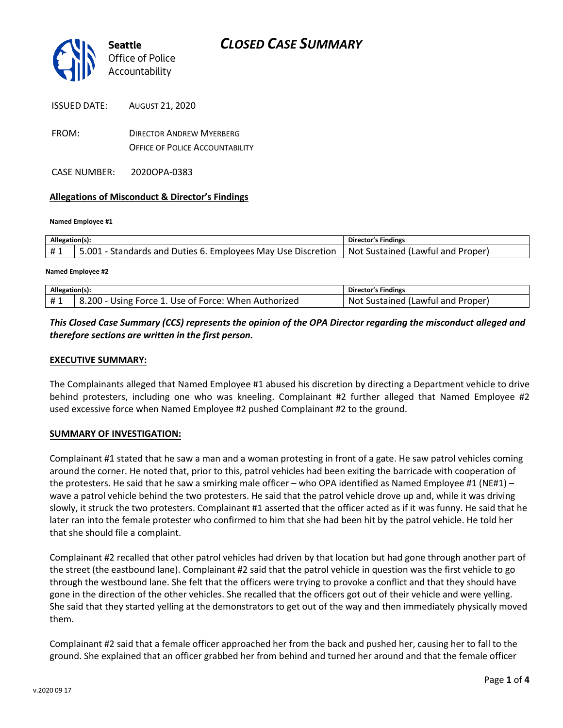

FROM: DIRECTOR ANDREW MYERBERG OFFICE OF POLICE ACCOUNTABILITY

CASE NUMBER: 2020OPA-0383

### **Allegations of Misconduct & Director's Findings**

#### **Named Employee #1**

| Allegation(s): |                                                                                                                     | <b>Director's Findings</b> |
|----------------|---------------------------------------------------------------------------------------------------------------------|----------------------------|
| #1             | [Lawful and Proper] 5.001 - Standards and Duties 6. Employees May Use Discretion   Not Sustained (Lawful and Proper |                            |

#### **Named Employee #2**

| Allegation(s): |                                                                 | Director's Findings                        |
|----------------|-----------------------------------------------------------------|--------------------------------------------|
| #1             | ا - 200. د $\,$<br>Using Force 1. Use of Force: When Authorized | -Not<br>. Proper'<br>Sustained (Lawful and |

## *This Closed Case Summary (CCS) represents the opinion of the OPA Director regarding the misconduct alleged and therefore sections are written in the first person.*

### **EXECUTIVE SUMMARY:**

The Complainants alleged that Named Employee #1 abused his discretion by directing a Department vehicle to drive behind protesters, including one who was kneeling. Complainant #2 further alleged that Named Employee #2 used excessive force when Named Employee #2 pushed Complainant #2 to the ground.

### **SUMMARY OF INVESTIGATION:**

Complainant #1 stated that he saw a man and a woman protesting in front of a gate. He saw patrol vehicles coming around the corner. He noted that, prior to this, patrol vehicles had been exiting the barricade with cooperation of the protesters. He said that he saw a smirking male officer – who OPA identified as Named Employee #1 (NE#1) – wave a patrol vehicle behind the two protesters. He said that the patrol vehicle drove up and, while it was driving slowly, it struck the two protesters. Complainant #1 asserted that the officer acted as if it was funny. He said that he later ran into the female protester who confirmed to him that she had been hit by the patrol vehicle. He told her that she should file a complaint.

Complainant #2 recalled that other patrol vehicles had driven by that location but had gone through another part of the street (the eastbound lane). Complainant #2 said that the patrol vehicle in question was the first vehicle to go through the westbound lane. She felt that the officers were trying to provoke a conflict and that they should have gone in the direction of the other vehicles. She recalled that the officers got out of their vehicle and were yelling. She said that they started yelling at the demonstrators to get out of the way and then immediately physically moved them.

Complainant #2 said that a female officer approached her from the back and pushed her, causing her to fall to the ground. She explained that an officer grabbed her from behind and turned her around and that the female officer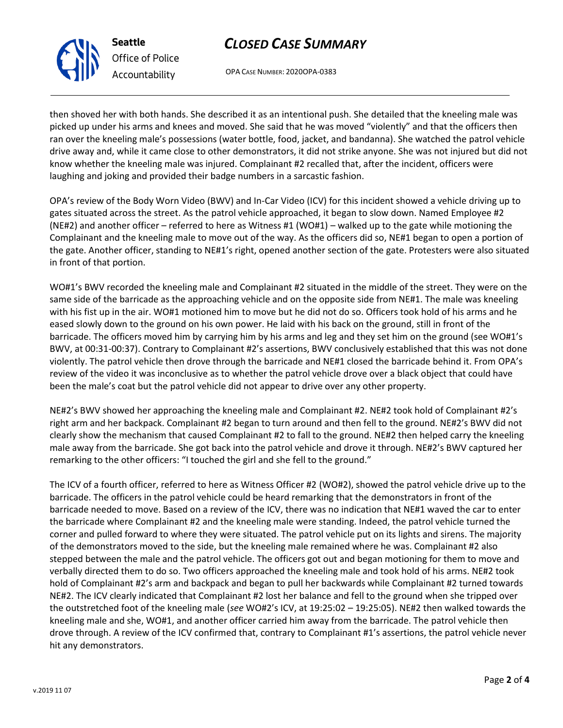## *CLOSED CASE SUMMARY*



*Office of Police Accountability*

OPA CASE NUMBER: 2020OPA-0383

then shoved her with both hands. She described it as an intentional push. She detailed that the kneeling male was picked up under his arms and knees and moved. She said that he was moved "violently" and that the officers then ran over the kneeling male's possessions (water bottle, food, jacket, and bandanna). She watched the patrol vehicle drive away and, while it came close to other demonstrators, it did not strike anyone. She was not injured but did not know whether the kneeling male was injured. Complainant #2 recalled that, after the incident, officers were laughing and joking and provided their badge numbers in a sarcastic fashion.

OPA's review of the Body Worn Video (BWV) and In-Car Video (ICV) for this incident showed a vehicle driving up to gates situated across the street. As the patrol vehicle approached, it began to slow down. Named Employee #2 (NE#2) and another officer – referred to here as Witness #1 (WO#1) – walked up to the gate while motioning the Complainant and the kneeling male to move out of the way. As the officers did so, NE#1 began to open a portion of the gate. Another officer, standing to NE#1's right, opened another section of the gate. Protesters were also situated in front of that portion.

WO#1's BWV recorded the kneeling male and Complainant #2 situated in the middle of the street. They were on the same side of the barricade as the approaching vehicle and on the opposite side from NE#1. The male was kneeling with his fist up in the air. WO#1 motioned him to move but he did not do so. Officers took hold of his arms and he eased slowly down to the ground on his own power. He laid with his back on the ground, still in front of the barricade. The officers moved him by carrying him by his arms and leg and they set him on the ground (see WO#1's BWV, at 00:31-00:37). Contrary to Complainant #2's assertions, BWV conclusively established that this was not done violently. The patrol vehicle then drove through the barricade and NE#1 closed the barricade behind it. From OPA's review of the video it was inconclusive as to whether the patrol vehicle drove over a black object that could have been the male's coat but the patrol vehicle did not appear to drive over any other property.

NE#2's BWV showed her approaching the kneeling male and Complainant #2. NE#2 took hold of Complainant #2's right arm and her backpack. Complainant #2 began to turn around and then fell to the ground. NE#2's BWV did not clearly show the mechanism that caused Complainant #2 to fall to the ground. NE#2 then helped carry the kneeling male away from the barricade. She got back into the patrol vehicle and drove it through. NE#2's BWV captured her remarking to the other officers: "I touched the girl and she fell to the ground."

The ICV of a fourth officer, referred to here as Witness Officer #2 (WO#2), showed the patrol vehicle drive up to the barricade. The officers in the patrol vehicle could be heard remarking that the demonstrators in front of the barricade needed to move. Based on a review of the ICV, there was no indication that NE#1 waved the car to enter the barricade where Complainant #2 and the kneeling male were standing. Indeed, the patrol vehicle turned the corner and pulled forward to where they were situated. The patrol vehicle put on its lights and sirens. The majority of the demonstrators moved to the side, but the kneeling male remained where he was. Complainant #2 also stepped between the male and the patrol vehicle. The officers got out and began motioning for them to move and verbally directed them to do so. Two officers approached the kneeling male and took hold of his arms. NE#2 took hold of Complainant #2's arm and backpack and began to pull her backwards while Complainant #2 turned towards NE#2. The ICV clearly indicated that Complainant #2 lost her balance and fell to the ground when she tripped over the outstretched foot of the kneeling male (*see* WO#2's ICV, at 19:25:02 – 19:25:05). NE#2 then walked towards the kneeling male and she, WO#1, and another officer carried him away from the barricade. The patrol vehicle then drove through. A review of the ICV confirmed that, contrary to Complainant #1's assertions, the patrol vehicle never hit any demonstrators.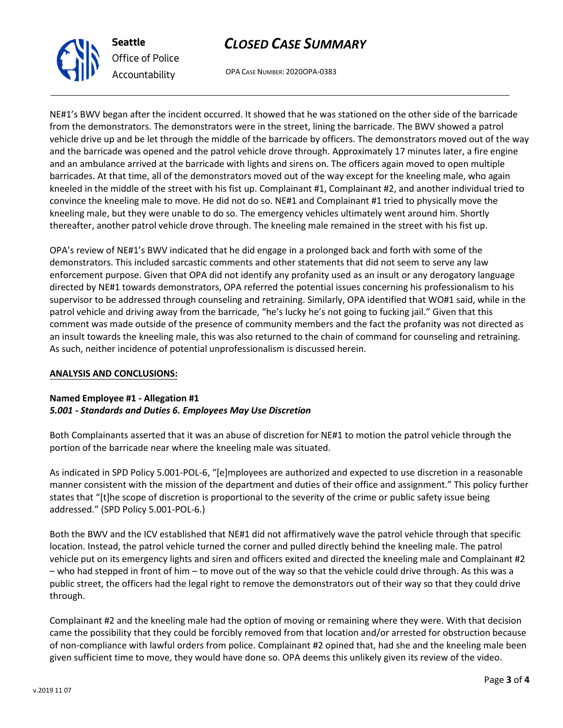v.2019 11 07

# *CLOSED CASE SUMMARY*

OPA CASE NUMBER: 2020OPA-0383

NE#1's BWV began after the incident occurred. It showed that he was stationed on the other side of the barricade from the demonstrators. The demonstrators were in the street, lining the barricade. The BWV showed a patrol vehicle drive up and be let through the middle of the barricade by officers. The demonstrators moved out of the way and the barricade was opened and the patrol vehicle drove through. Approximately 17 minutes later, a fire engine and an ambulance arrived at the barricade with lights and sirens on. The officers again moved to open multiple barricades. At that time, all of the demonstrators moved out of the way except for the kneeling male, who again kneeled in the middle of the street with his fist up. Complainant #1, Complainant #2, and another individual tried to convince the kneeling male to move. He did not do so. NE#1 and Complainant #1 tried to physically move the kneeling male, but they were unable to do so. The emergency vehicles ultimately went around him. Shortly thereafter, another patrol vehicle drove through. The kneeling male remained in the street with his fist up.

OPA's review of NE#1's BWV indicated that he did engage in a prolonged back and forth with some of the demonstrators. This included sarcastic comments and other statements that did not seem to serve any law enforcement purpose. Given that OPA did not identify any profanity used as an insult or any derogatory language directed by NE#1 towards demonstrators, OPA referred the potential issues concerning his professionalism to his supervisor to be addressed through counseling and retraining. Similarly, OPA identified that WO#1 said, while in the patrol vehicle and driving away from the barricade, "he's lucky he's not going to fucking jail." Given that this comment was made outside of the presence of community members and the fact the profanity was not directed as an insult towards the kneeling male, this was also returned to the chain of command for counseling and retraining. As such, neither incidence of potential unprofessionalism is discussed herein.

### **ANALYSIS AND CONCLUSIONS:**

### **Named Employee #1 - Allegation #1**  *5.001 - Standards and Duties 6. Employees May Use Discretion*

Both Complainants asserted that it was an abuse of discretion for NE#1 to motion the patrol vehicle through the portion of the barricade near where the kneeling male was situated.

As indicated in SPD Policy 5.001-POL-6, "[e]mployees are authorized and expected to use discretion in a reasonable manner consistent with the mission of the department and duties of their office and assignment." This policy further states that "[t]he scope of discretion is proportional to the severity of the crime or public safety issue being addressed." (SPD Policy 5.001-POL-6.)

Both the BWV and the ICV established that NE#1 did not affirmatively wave the patrol vehicle through that specific location. Instead, the patrol vehicle turned the corner and pulled directly behind the kneeling male. The patrol vehicle put on its emergency lights and siren and officers exited and directed the kneeling male and Complainant #2 – who had stepped in front of him – to move out of the way so that the vehicle could drive through. As this was a public street, the officers had the legal right to remove the demonstrators out of their way so that they could drive through.

Complainant #2 and the kneeling male had the option of moving or remaining where they were. With that decision came the possibility that they could be forcibly removed from that location and/or arrested for obstruction because of non-compliance with lawful orders from police. Complainant #2 opined that, had she and the kneeling male been given sufficient time to move, they would have done so. OPA deems this unlikely given its review of the video.



**Seattle**

*Office of Police Accountability*